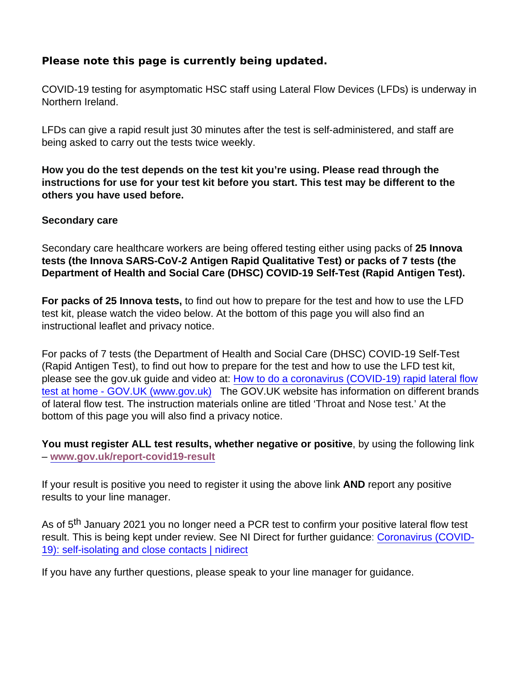## Please note this page is currently being updated.

COVID-19 testing for asymptomatic HSC staff using Lateral Flow Devices (LFDs) is underway in Northern Ireland.

LFDs can give a rapid result just 30 minutes after the test is self-administered, and staff are being asked to carry out the tests twice weekly.

How you do the test depends on the test kit you're using. Please read through the instructions for use for your test kit before you start. This test may be different to the others you have used before.

## Secondary care

Secondary care healthcare workers are being offered testing either using packs of 25 Innova tests (the Innova SARS-CoV-2 Antigen Rapid Qualitative Test) or packs of 7 tests (the Department of Health and Social Care (DHSC) COVID-19 Self-Test (Rapid Antigen Test).

For packs of 25 Innova tests, to find out how to prepare for the test and how to use the LFD test kit, please watch the video below. At the bottom of this page you will also find an instructional leaflet and privacy notice.

For packs of 7 tests (the Department of Health and Social Care (DHSC) COVID-19 Self-Test (Rapid Antigen Test), to find out how to prepare for the test and how to use the LFD test kit, please see the gov.uk guide and video at: [How to do a coronavirus \(COVID-19\) rapid lateral flow](https://www.gov.uk/guidance/covid-19-self-test-help) [test at home - GOV.UK \(www.gov.uk\)](https://www.gov.uk/guidance/covid-19-self-test-help) The GOV.UK website has information on different brands of lateral flow test. The instruction materials online are titled 'Throat and Nose test.' At the bottom of this page you will also find a privacy notice.

You must register ALL test results, whether negative or positive , by using the following link – [www.gov.uk/report-covid19-result](https://www.gov.uk/report-covid19-result)

If your result is positive you need to register it using the above link AND report any positive results to your line manager.

As of 5<sup>th</sup> January 2021 you no longer need a PCR test to confirm your positive lateral flow test result. This is being kept under review. See NI Direct for further guidance: [Coronavirus \(COVID-](https://www.nidirect.gov.uk/articles/coronavirus-covid-19-self-isolating-and-close-contacts)[19\): self-isolating and close contacts | nidirect](https://www.nidirect.gov.uk/articles/coronavirus-covid-19-self-isolating-and-close-contacts)

If you have any further questions, please speak to your line manager for guidance.